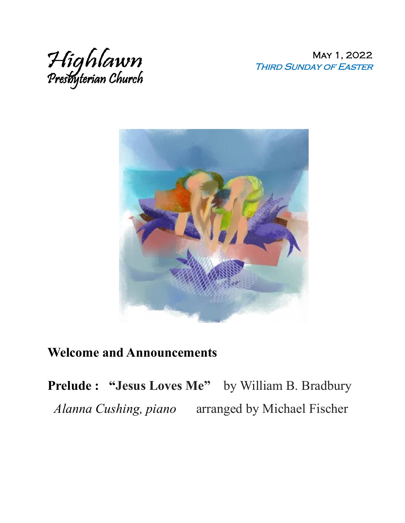

May 1, 2022 Third Sunday of Easter



## **Welcome and Announcements**

**Prelude : "Jesus Loves Me"** by William B. Bradbury *Alanna Cushing, piano* arranged by Michael Fischer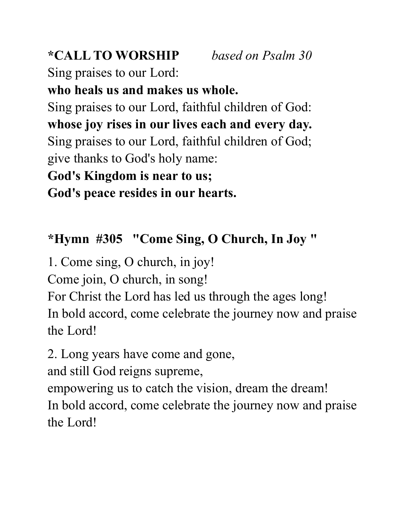### **\*CALL TO WORSHIP** *based on Psalm 30*

Sing praises to our Lord:

### **who heals us and makes us whole.**

Sing praises to our Lord, faithful children of God: **whose joy rises in our lives each and every day.** Sing praises to our Lord, faithful children of God; give thanks to God's holy name:

## **God's Kingdom is near to us;**

**God's peace resides in our hearts.**

# **\*Hymn #305 "Come Sing, O Church, In Joy "**

1. Come sing, O church, in joy!

Come join, O church, in song!

For Christ the Lord has led us through the ages long! In bold accord, come celebrate the journey now and praise the Lord!

2. Long years have come and gone,

and still God reigns supreme,

empowering us to catch the vision, dream the dream!

In bold accord, come celebrate the journey now and praise the Lord!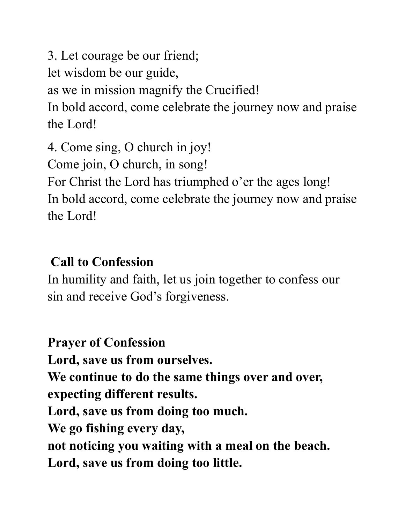3. Let courage be our friend; let wisdom be our guide, as we in mission magnify the Crucified! In bold accord, come celebrate the journey now and praise the Lord!

4. Come sing, O church in joy! Come join, O church, in song! For Christ the Lord has triumphed o'er the ages long! In bold accord, come celebrate the journey now and praise the Lord!

# **Call to Confession**

In humility and faith, let us join together to confess our sin and receive God's forgiveness.

**Prayer of Confession Lord, save us from ourselves. We continue to do the same things over and over, expecting different results. Lord, save us from doing too much. We go fishing every day, not noticing you waiting with a meal on the beach. Lord, save us from doing too little.**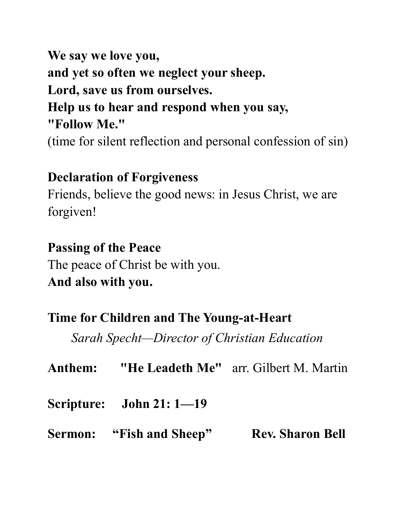**We say we love you, and yet so often we neglect your sheep. Lord, save us from ourselves. Help us to hear and respond when you say, "Follow Me."** 

(time for silent reflection and personal confession of sin)

#### **Declaration of Forgiveness**

Friends, believe the good news: in Jesus Christ, we are forgiven!

#### **Passing of the Peace**

The peace of Christ be with you. **And also with you.** 

#### **Time for Children and The Young-at-Heart**

*Sarah Specht—Director of Christian Education*

**Anthem: "He Leadeth Me"** arr. Gilbert M. Martin

**Scripture: John 21: 1—19**

**Sermon:** "Fish and Sheep" Rev. Sharon Bell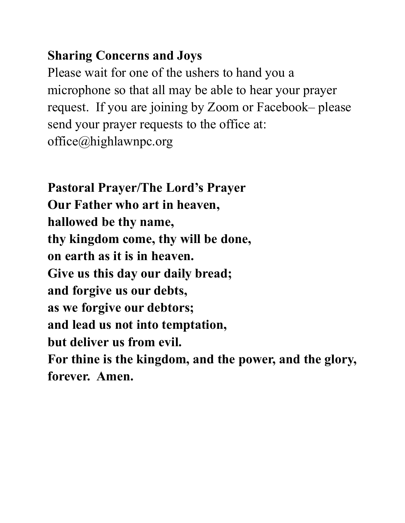## **Sharing Concerns and Joys**

Please wait for one of the ushers to hand you a microphone so that all may be able to hear your prayer request. If you are joining by Zoom or Facebook– please send your prayer requests to the office at: office@highlawnpc.org

**Pastoral Prayer/The Lord's Prayer Our Father who art in heaven, hallowed be thy name, thy kingdom come, thy will be done, on earth as it is in heaven. Give us this day our daily bread; and forgive us our debts, as we forgive our debtors; and lead us not into temptation, but deliver us from evil. For thine is the kingdom, and the power, and the glory, forever. Amen.**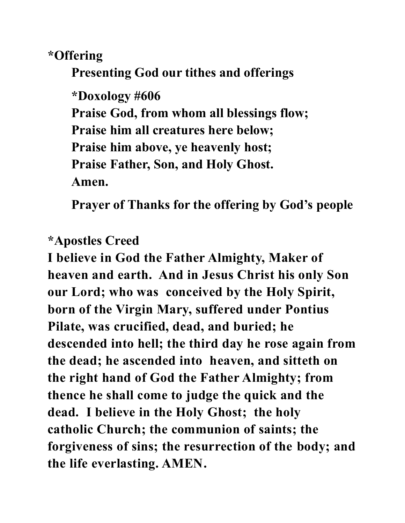**\*Offering** 

**Presenting God our tithes and offerings**

**\*Doxology #606 Praise God, from whom all blessings flow; Praise him all creatures here below; Praise him above, ye heavenly host; Praise Father, Son, and Holy Ghost. Amen.**

**Prayer of Thanks for the offering by God's people**

#### **\*Apostles Creed**

**I believe in God the Father Almighty, Maker of heaven and earth. And in Jesus Christ his only Son our Lord; who was conceived by the Holy Spirit, born of the Virgin Mary, suffered under Pontius Pilate, was crucified, dead, and buried; he descended into hell; the third day he rose again from the dead; he ascended into heaven, and sitteth on the right hand of God the Father Almighty; from thence he shall come to judge the quick and the dead. I believe in the Holy Ghost; the holy catholic Church; the communion of saints; the forgiveness of sins; the resurrection of the body; and the life everlasting. AMEN.**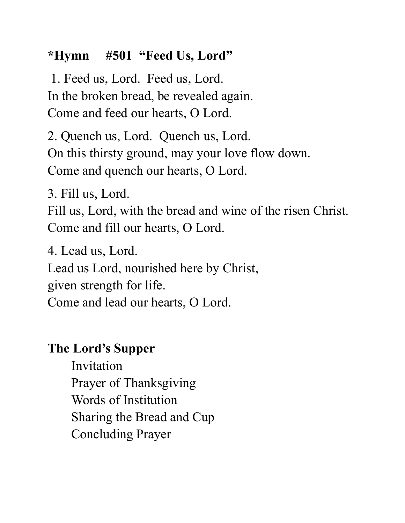## **\*Hymn #501 "Feed Us, Lord"**

1. Feed us, Lord. Feed us, Lord. In the broken bread, be revealed again. Come and feed our hearts, O Lord.

2. Quench us, Lord. Quench us, Lord. On this thirsty ground, may your love flow down. Come and quench our hearts, O Lord.

3. Fill us, Lord.

Fill us, Lord, with the bread and wine of the risen Christ. Come and fill our hearts, O Lord.

4. Lead us, Lord.

Lead us Lord, nourished here by Christ,

given strength for life.

Come and lead our hearts, O Lord.

## **The Lord's Supper**

Invitation Prayer of Thanksgiving Words of Institution Sharing the Bread and Cup Concluding Prayer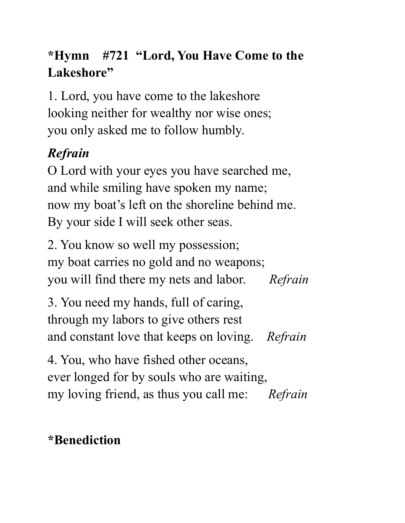# **\*Hymn #721 "Lord, You Have Come to the Lakeshore"**

1. Lord, you have come to the lakeshore looking neither for wealthy nor wise ones; you only asked me to follow humbly.

# *Refrain*

O Lord with your eyes you have searched me, and while smiling have spoken my name; now my boat's left on the shoreline behind me. By your side I will seek other seas.

2. You know so well my possession; my boat carries no gold and no weapons; you will find there my nets and labor. *Refrain*

3. You need my hands, full of caring, through my labors to give others rest and constant love that keeps on loving. *Refrain*

4. You, who have fished other oceans, ever longed for by souls who are waiting, my loving friend, as thus you call me: *Refrain*

# **\*Benediction**